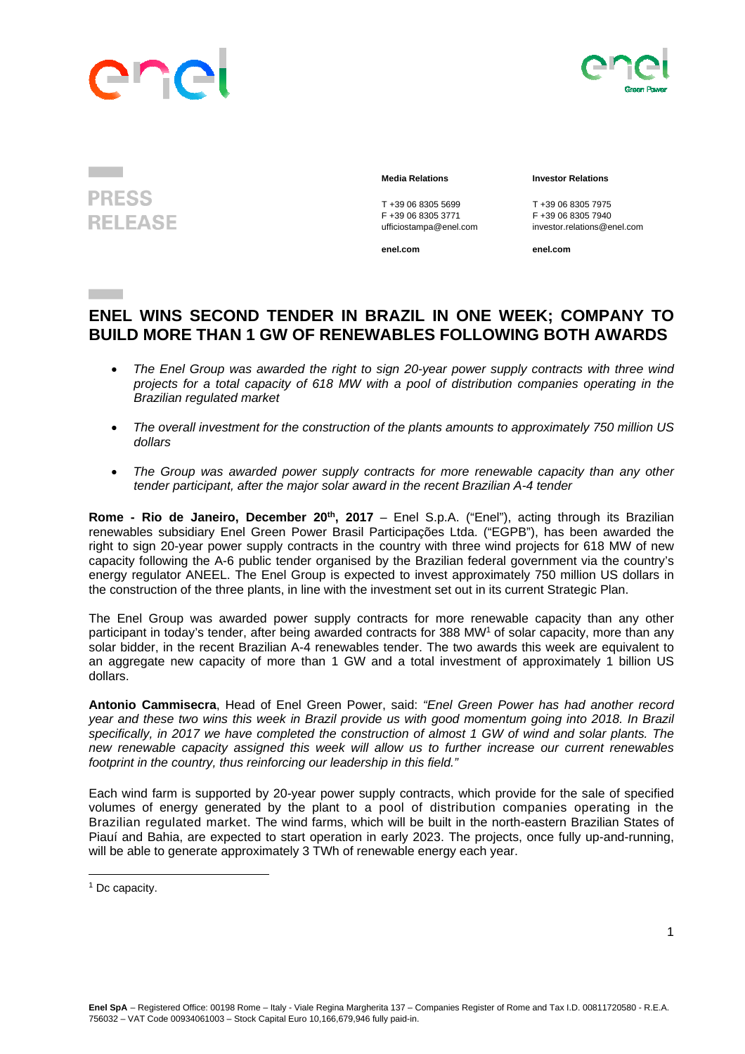



## **PRESS RELEASE**

## **Media Relations Investor Relations**

T +39 06 8305 5699<br>
F +39 06 8305 3771<br>
F +39 06 8305 3771<br>
F +39 06 8305 7940 F +39 06 8305 3771 F +39 06 8305 7940

**enel.com enel.com**

ufficiostampa@enel.com investor.relations@enel.com

## **ENEL WINS SECOND TENDER IN BRAZIL IN ONE WEEK; COMPANY TO BUILD MORE THAN 1 GW OF RENEWABLES FOLLOWING BOTH AWARDS**

- *The Enel Group was awarded the right to sign 20-year power supply contracts with three wind projects for a total capacity of 618 MW with a pool of distribution companies operating in the Brazilian regulated market*
- *The overall investment for the construction of the plants amounts to approximately 750 million US dollars*
- *The Group was awarded power supply contracts for more renewable capacity than any other tender participant, after the major solar award in the recent Brazilian A-4 tender*

**Rome - Rio de Janeiro, December 20<sup>th</sup>, 2017** – Enel S.p.A. ("Enel"), acting through its Brazilian renewables subsidiary Enel Green Power Brasil Participações Ltda. ("EGPB"), has been awarded the right to sign 20-year power supply contracts in the country with three wind projects for 618 MW of new capacity following the A-6 public tender organised by the Brazilian federal government via the country's energy regulator ANEEL. The Enel Group is expected to invest approximately 750 million US dollars in the construction of the three plants, in line with the investment set out in its current Strategic Plan.

The Enel Group was awarded power supply contracts for more renewable capacity than any other participant in today's tender, after being awarded contracts for 388 MW<sup>1</sup> of solar capacity, more than any solar bidder, in the recent Brazilian A-4 renewables tender. The two awards this week are equivalent to an aggregate new capacity of more than 1 GW and a total investment of approximately 1 billion US dollars.

**Antonio Cammisecra**, Head of Enel Green Power, said: *"Enel Green Power has had another record year and these two wins this week in Brazil provide us with good momentum going into 2018. In Brazil specifically, in 2017 we have completed the construction of almost 1 GW of wind and solar plants. The new renewable capacity assigned this week will allow us to further increase our current renewables footprint in the country, thus reinforcing our leadership in this field."*

Each wind farm is supported by 20-year power supply contracts, which provide for the sale of specified volumes of energy generated by the plant to a pool of distribution companies operating in the Brazilian regulated market. The wind farms, which will be built in the north-eastern Brazilian States of Piauí and Bahia, are expected to start operation in early 2023. The projects, once fully up-and-running, will be able to generate approximately 3 TWh of renewable energy each year.

 

<sup>&</sup>lt;sup>1</sup> Dc capacity.